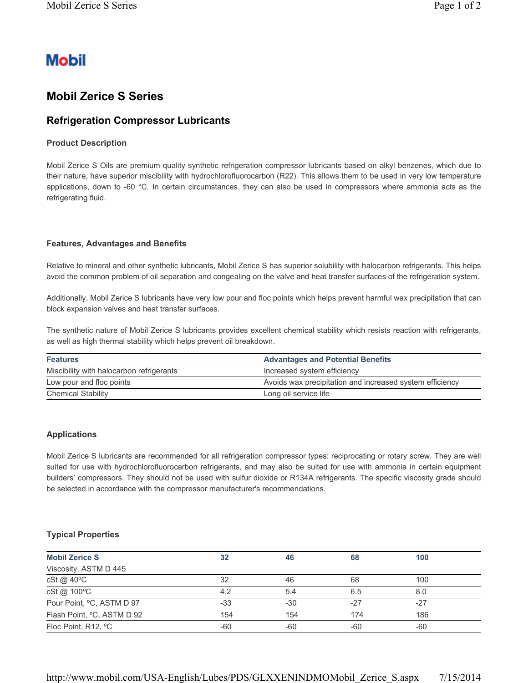# **Mobil**

## **Mobil Zerice S Series**

### **Refrigeration Compressor Lubricants**

#### **Product Description**

Mobil Zerice S Oils are premium quality synthetic refrigeration compressor lubricants based on alkyl benzenes, which due to their nature, have superior miscibility with hydrochlorofluorocarbon (R22). This allows them to be used in very low temperature applications, down to -60 °C. In certain circumstances, they can also be used in compressors where ammonia acts as the refrigerating fluid.

#### **Features, Advantages and Benefits**

Relative to mineral and other synthetic lubricants, Mobil Zerice S has superior solubility with halocarbon refrigerants. This helps avoid the common problem of oil separation and congealing on the valve and heat transfer surfaces of the refrigeration system.

Additionally, Mobil Zerice S lubricants have very low pour and floc points which helps prevent harmful wax precipitation that can block expansion valves and heat transfer surfaces.

The synthetic nature of Mobil Zerice S lubricants provides excellent chemical stability which resists reaction with refrigerants, as well as high thermal stability which helps prevent oil breakdown.

| <b>Features</b>                          | <b>Advantages and Potential Benefits</b>                 |  |  |
|------------------------------------------|----------------------------------------------------------|--|--|
| Miscibility with halocarbon refrigerants | Increased system efficiency                              |  |  |
| Low pour and floc points                 | Avoids wax precipitation and increased system efficiency |  |  |
| <b>Chemical Stability</b>                | Long oil service life                                    |  |  |

#### **Applications**

Mobil Zerice S lubricants are recommended for all refrigeration compressor types: reciprocating or rotary screw. They are well suited for use with hydrochlorofluorocarbon refrigerants, and may also be suited for use with ammonia in certain equipment builders' compressors. They should not be used with sulfur dioxide or R134A refrigerants. The specific viscosity grade should be selected in accordance with the compressor manufacturer's recommendations.

#### **Typical Properties**

| <b>Mobil Zerice S</b>      | 32    | 46    | 68    | 100   |  |
|----------------------------|-------|-------|-------|-------|--|
| Viscosity, ASTM D 445      |       |       |       |       |  |
| cSt @ 40°C                 | 32    | 46    | 68    | 100   |  |
| cSt@ 100°C                 | 4.2   | 5.4   | 6.5   | 8.0   |  |
| Pour Point, °C, ASTM D 97  | $-33$ | $-30$ | $-27$ | $-27$ |  |
| Flash Point, °C, ASTM D 92 | 154   | 154   | 174   | 186   |  |
| Floc Point, R12, °C        | $-60$ | -60   | -60   | -60   |  |